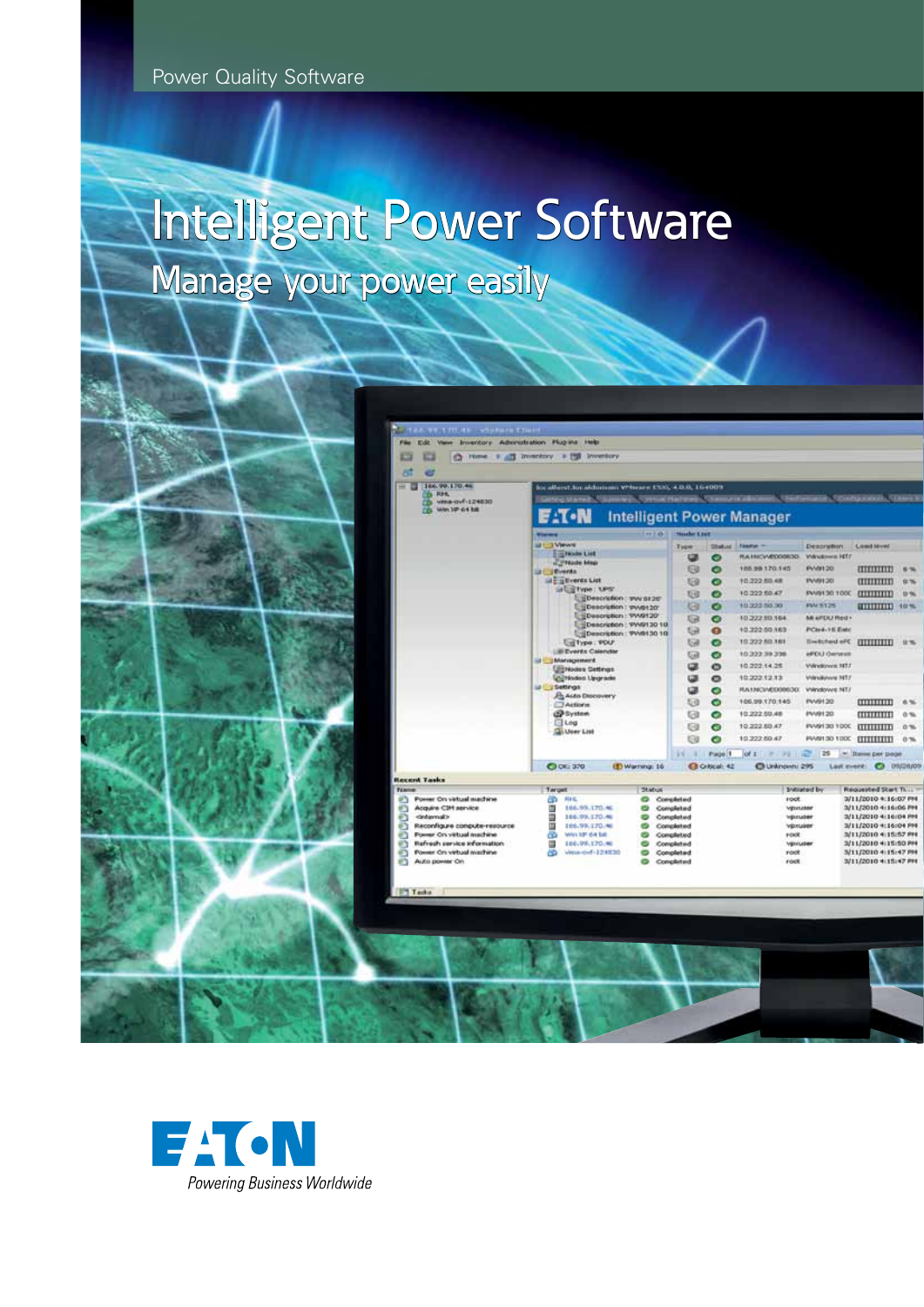Power Quality Software

# Manage your power easily Intelligent Power Software



| Ch. Home B ATT Inventory, b PTI<br>B.<br>166.99.170.46<br>÷<br><b>D RHL</b><br>To: www.covf -124830<br>With 10P 64 bit.<br><b>Windows</b><br><b>UI TViews</b><br><b>SI Brenta</b><br>Settings | <b>Invettory</b><br>his allerst for adduction Writeges ESK, 4,0.0, 164009<br>E T - N<br><b>Employee List</b><br><b>ITTMade Map</b><br>in Eig Events List<br>GILIETYPE: UPS'<br>Description : swy siger<br>Description: #W6120<br>Description: PW9120<br>Description: 9W9130 10<br>Description: PV/9130 10<br><b>Lid Type: PDU</b><br><b>Lill Events Calendar</b><br><b>ILE Management</b><br><b>Ullistodes Settings</b><br><b>Louisian Ungrade</b><br><b>John Chocovery</b><br><b>CD</b> Actions | Jerningh, Contrast Harbourg, Charmy in Allison<br><b>HITS!</b> | <b>Nowber 8 848</b><br>Type<br>œ<br>Θ<br><b>tip</b><br>ti3<br>G<br>G<br><b>Ga</b><br>Ga<br>Ga<br>œ<br>œ | <b>Shekani</b><br>◎<br>۰<br>۰<br>۰<br>۰<br>◉<br>$\bullet$<br>$\bullet$<br>G<br>$\bullet$<br>۰ | <b>Literature</b><br><b>Intelligent Power Manager</b><br>Tásutus --<br><b><i>RA HICVARDORISO</i></b><br>105.99.170.145<br>T0.222 RD AB<br>10.322.60.47<br>10.322.68.98<br>10.222.90.164<br>10.322.50.163<br>10.322.60.168<br>10.222.39.238<br>10.022.14.25<br>10.222.12.13 | <b>Description</b><br>Wandows HT/<br>PV-0120<br><b>INVISION</b><br>PANN130 100C<br><b>PW 5125</b><br>Mi arrou med +<br>PCH4-16 EMC<br>29a bartstwill<br><b><i><i>EFOLI Osma</i></i></b><br>Willingtown, 1977<br>Vilmäuvvs NT7 | <b>B. Cittishian and L. Chennell</b><br><b>Coact loved</b><br>0000000<br>$\pi$<br><b>CULTURAL</b><br><b>CITTITITI</b> 40%<br><b>CULTURED</b> | 6%<br>0.76<br>th. 1%<br>显光 |
|-----------------------------------------------------------------------------------------------------------------------------------------------------------------------------------------------|--------------------------------------------------------------------------------------------------------------------------------------------------------------------------------------------------------------------------------------------------------------------------------------------------------------------------------------------------------------------------------------------------------------------------------------------------------------------------------------------------|----------------------------------------------------------------|---------------------------------------------------------------------------------------------------------|-----------------------------------------------------------------------------------------------|----------------------------------------------------------------------------------------------------------------------------------------------------------------------------------------------------------------------------------------------------------------------------|-------------------------------------------------------------------------------------------------------------------------------------------------------------------------------------------------------------------------------|----------------------------------------------------------------------------------------------------------------------------------------------|----------------------------|
|                                                                                                                                                                                               |                                                                                                                                                                                                                                                                                                                                                                                                                                                                                                  |                                                                |                                                                                                         |                                                                                               |                                                                                                                                                                                                                                                                            |                                                                                                                                                                                                                               |                                                                                                                                              |                            |
|                                                                                                                                                                                               |                                                                                                                                                                                                                                                                                                                                                                                                                                                                                                  |                                                                |                                                                                                         |                                                                                               |                                                                                                                                                                                                                                                                            |                                                                                                                                                                                                                               |                                                                                                                                              |                            |
|                                                                                                                                                                                               |                                                                                                                                                                                                                                                                                                                                                                                                                                                                                                  |                                                                |                                                                                                         |                                                                                               |                                                                                                                                                                                                                                                                            |                                                                                                                                                                                                                               |                                                                                                                                              |                            |
|                                                                                                                                                                                               |                                                                                                                                                                                                                                                                                                                                                                                                                                                                                                  |                                                                |                                                                                                         |                                                                                               |                                                                                                                                                                                                                                                                            |                                                                                                                                                                                                                               |                                                                                                                                              |                            |
|                                                                                                                                                                                               |                                                                                                                                                                                                                                                                                                                                                                                                                                                                                                  |                                                                |                                                                                                         |                                                                                               |                                                                                                                                                                                                                                                                            |                                                                                                                                                                                                                               |                                                                                                                                              |                            |
|                                                                                                                                                                                               |                                                                                                                                                                                                                                                                                                                                                                                                                                                                                                  |                                                                |                                                                                                         |                                                                                               |                                                                                                                                                                                                                                                                            |                                                                                                                                                                                                                               |                                                                                                                                              |                            |
|                                                                                                                                                                                               |                                                                                                                                                                                                                                                                                                                                                                                                                                                                                                  |                                                                |                                                                                                         |                                                                                               |                                                                                                                                                                                                                                                                            |                                                                                                                                                                                                                               |                                                                                                                                              |                            |
|                                                                                                                                                                                               |                                                                                                                                                                                                                                                                                                                                                                                                                                                                                                  |                                                                |                                                                                                         |                                                                                               |                                                                                                                                                                                                                                                                            |                                                                                                                                                                                                                               |                                                                                                                                              |                            |
|                                                                                                                                                                                               |                                                                                                                                                                                                                                                                                                                                                                                                                                                                                                  |                                                                |                                                                                                         |                                                                                               |                                                                                                                                                                                                                                                                            |                                                                                                                                                                                                                               |                                                                                                                                              |                            |
|                                                                                                                                                                                               |                                                                                                                                                                                                                                                                                                                                                                                                                                                                                                  |                                                                |                                                                                                         |                                                                                               |                                                                                                                                                                                                                                                                            |                                                                                                                                                                                                                               |                                                                                                                                              |                            |
|                                                                                                                                                                                               |                                                                                                                                                                                                                                                                                                                                                                                                                                                                                                  |                                                                |                                                                                                         |                                                                                               |                                                                                                                                                                                                                                                                            |                                                                                                                                                                                                                               |                                                                                                                                              |                            |
|                                                                                                                                                                                               |                                                                                                                                                                                                                                                                                                                                                                                                                                                                                                  |                                                                |                                                                                                         |                                                                                               |                                                                                                                                                                                                                                                                            |                                                                                                                                                                                                                               |                                                                                                                                              |                            |
|                                                                                                                                                                                               |                                                                                                                                                                                                                                                                                                                                                                                                                                                                                                  |                                                                |                                                                                                         |                                                                                               |                                                                                                                                                                                                                                                                            |                                                                                                                                                                                                                               |                                                                                                                                              |                            |
|                                                                                                                                                                                               |                                                                                                                                                                                                                                                                                                                                                                                                                                                                                                  |                                                                |                                                                                                         |                                                                                               |                                                                                                                                                                                                                                                                            |                                                                                                                                                                                                                               |                                                                                                                                              |                            |
|                                                                                                                                                                                               |                                                                                                                                                                                                                                                                                                                                                                                                                                                                                                  |                                                                |                                                                                                         |                                                                                               |                                                                                                                                                                                                                                                                            |                                                                                                                                                                                                                               |                                                                                                                                              |                            |
|                                                                                                                                                                                               |                                                                                                                                                                                                                                                                                                                                                                                                                                                                                                  |                                                                |                                                                                                         |                                                                                               |                                                                                                                                                                                                                                                                            |                                                                                                                                                                                                                               |                                                                                                                                              |                            |
|                                                                                                                                                                                               |                                                                                                                                                                                                                                                                                                                                                                                                                                                                                                  |                                                                |                                                                                                         |                                                                                               |                                                                                                                                                                                                                                                                            |                                                                                                                                                                                                                               |                                                                                                                                              |                            |
|                                                                                                                                                                                               |                                                                                                                                                                                                                                                                                                                                                                                                                                                                                                  |                                                                | œ                                                                                                       | ۰                                                                                             | FLA 176CVADDOR63DL                                                                                                                                                                                                                                                         | Vilindowit NT/                                                                                                                                                                                                                |                                                                                                                                              |                            |
|                                                                                                                                                                                               |                                                                                                                                                                                                                                                                                                                                                                                                                                                                                                  |                                                                | τa                                                                                                      | ۰                                                                                             | 106.99.170.145                                                                                                                                                                                                                                                             | <b>INVIA 30</b>                                                                                                                                                                                                               |                                                                                                                                              | 6%                         |
|                                                                                                                                                                                               | <b>CO</b> System                                                                                                                                                                                                                                                                                                                                                                                                                                                                                 |                                                                | 69                                                                                                      | ۰                                                                                             | 10.222.50.48                                                                                                                                                                                                                                                               | <b>INVAH 20</b>                                                                                                                                                                                                               |                                                                                                                                              | 0.76                       |
|                                                                                                                                                                                               | <b>El Log</b>                                                                                                                                                                                                                                                                                                                                                                                                                                                                                    |                                                                | Ga                                                                                                      | o                                                                                             | 10.222.60.47                                                                                                                                                                                                                                                               | PV/0130 100C                                                                                                                                                                                                                  | <b>THEFT</b>                                                                                                                                 | 0.76                       |
|                                                                                                                                                                                               | <b>Go User List</b>                                                                                                                                                                                                                                                                                                                                                                                                                                                                              |                                                                | Θø                                                                                                      | ۰                                                                                             | 10.222.50.47                                                                                                                                                                                                                                                               | DOD FOR HAVE                                                                                                                                                                                                                  | <b>CELEBRATION</b>                                                                                                                           | 0.76                       |
|                                                                                                                                                                                               |                                                                                                                                                                                                                                                                                                                                                                                                                                                                                                  |                                                                | 14                                                                                                      | Page 1                                                                                        |                                                                                                                                                                                                                                                                            | 22125                                                                                                                                                                                                                         | * Illeres per proget                                                                                                                         |                            |
|                                                                                                                                                                                               | C OK: 370                                                                                                                                                                                                                                                                                                                                                                                                                                                                                        | (E) Warrang: 16                                                |                                                                                                         | <b>C O Noah 42</b>                                                                            | C Unknown: 295                                                                                                                                                                                                                                                             |                                                                                                                                                                                                                               | Last event: C 09/20/09                                                                                                                       |                            |
| <b>Recent Tasks</b>                                                                                                                                                                           |                                                                                                                                                                                                                                                                                                                                                                                                                                                                                                  |                                                                |                                                                                                         |                                                                                               |                                                                                                                                                                                                                                                                            |                                                                                                                                                                                                                               |                                                                                                                                              |                            |
| <b>TANING</b><br>Target<br><b>Power On virtual machine</b><br>æ                                                                                                                               | 相似                                                                                                                                                                                                                                                                                                                                                                                                                                                                                               | <b>Thabus</b>                                                  | Completed                                                                                               |                                                                                               |                                                                                                                                                                                                                                                                            | <b>Industed by</b>                                                                                                                                                                                                            | Requested Start Ti -<br>3/11/2010 4:16:07 PH                                                                                                 |                            |
| Acquire CIH service<br>国                                                                                                                                                                      | 166.99.170.46                                                                                                                                                                                                                                                                                                                                                                                                                                                                                    |                                                                | Completed                                                                                               |                                                                                               | root.                                                                                                                                                                                                                                                                      | Villantalen                                                                                                                                                                                                                   | 3/11/2010 4:56:06 PH                                                                                                                         |                            |
| e.<br>Ф<br><br>degrade                                                                                                                                                                        | 186.99.170.46                                                                                                                                                                                                                                                                                                                                                                                                                                                                                    |                                                                | Completed                                                                                               |                                                                                               |                                                                                                                                                                                                                                                                            | Vpmuter                                                                                                                                                                                                                       | 3/11/2010 4:16:04 PM                                                                                                                         |                            |
| ω<br>Reconfigure conquite-resource                                                                                                                                                            | 106.99.170.96                                                                                                                                                                                                                                                                                                                                                                                                                                                                                    |                                                                | Completed                                                                                               |                                                                                               |                                                                                                                                                                                                                                                                            | Volusier                                                                                                                                                                                                                      | 3/11/2010 +:16:04 PM                                                                                                                         |                            |
| æ<br>ë.<br>Power On virtual machine                                                                                                                                                           | Win 10° 64 bit.                                                                                                                                                                                                                                                                                                                                                                                                                                                                                  |                                                                | Completed                                                                                               |                                                                                               | root                                                                                                                                                                                                                                                                       |                                                                                                                                                                                                                               | 3/11/2010 4:15:57 PH                                                                                                                         |                            |
| e٦<br>Rafnech service information<br>ω<br>ë٦<br>Former On virtual machine<br>öb                                                                                                               | 186.99.170.ML<br>Viewa -cmf - 124530                                                                                                                                                                                                                                                                                                                                                                                                                                                             | ⊝                                                              | Completed<br>Completed                                                                                  |                                                                                               | root                                                                                                                                                                                                                                                                       | VEH/Liber                                                                                                                                                                                                                     | 3/11/2010 4:15:50 PH<br>3/11/2010 4:15:47 PH                                                                                                 |                            |
| ٤٦<br>Auto power On                                                                                                                                                                           |                                                                                                                                                                                                                                                                                                                                                                                                                                                                                                  |                                                                | Completed                                                                                               |                                                                                               | <b>FOOT</b>                                                                                                                                                                                                                                                                |                                                                                                                                                                                                                               | 3/11/2010 4:15:47 PH                                                                                                                         |                            |
|                                                                                                                                                                                               |                                                                                                                                                                                                                                                                                                                                                                                                                                                                                                  |                                                                |                                                                                                         |                                                                                               |                                                                                                                                                                                                                                                                            |                                                                                                                                                                                                                               |                                                                                                                                              |                            |
| <b>IFT Tasks</b>                                                                                                                                                                              |                                                                                                                                                                                                                                                                                                                                                                                                                                                                                                  |                                                                |                                                                                                         |                                                                                               |                                                                                                                                                                                                                                                                            |                                                                                                                                                                                                                               |                                                                                                                                              |                            |

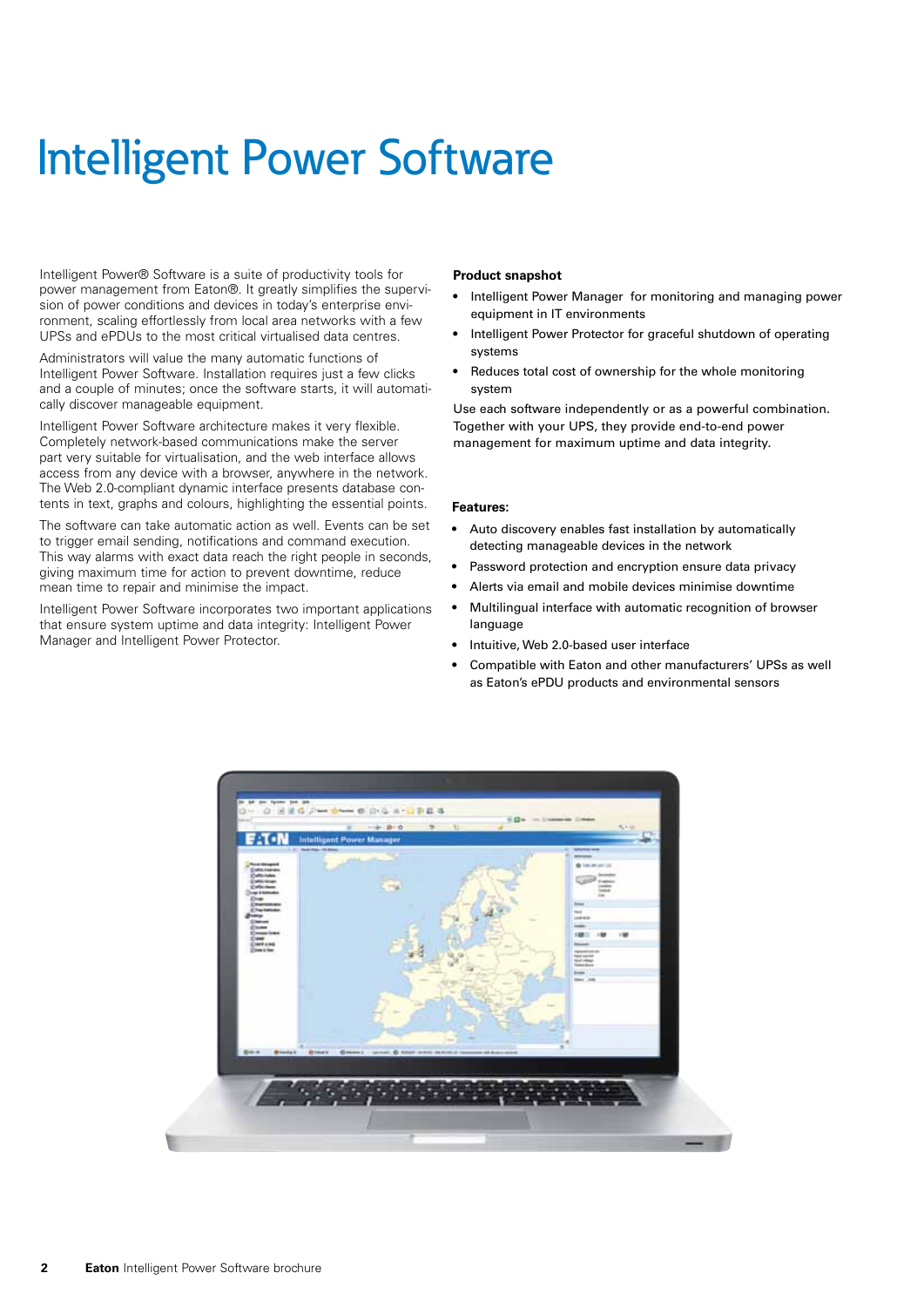# Intelligent Power Software

Intelligent Power® Software is a suite of productivity tools for power management from Eaton®. It greatly simplifies the supervision of power conditions and devices in today's enterprise environment, scaling effortlessly from local area networks with a few UPSs and ePDUs to the most critical virtualised data centres.

Administrators will value the many automatic functions of Intelligent Power Software. Installation requires just a few clicks and a couple of minutes; once the software starts, it will automatically discover manageable equipment.

Intelligent Power Software architecture makes it very flexible. Completely network-based communications make the server part very suitable for virtualisation, and the web interface allows access from any device with a browser, anywhere in the network. The Web 2.0-compliant dynamic interface presents database contents in text, graphs and colours, highlighting the essential points.

The software can take automatic action as well. Events can be set to trigger email sending, notifications and command execution. This way alarms with exact data reach the right people in seconds, giving maximum time for action to prevent downtime, reduce mean time to repair and minimise the impact.

Intelligent Power Software incorporates two important applications that ensure system uptime and data integrity: Intelligent Power Manager and Intelligent Power Protector.

#### **Product snapshot**

- Intelligent Power Manager for monitoring and managing power equipment in IT environments
- Intelligent Power Protector for graceful shutdown of operating systems
- Reduces total cost of ownership for the whole monitoring system

Use each software independently or as a powerful combination. Together with your UPS, they provide end-to-end power management for maximum uptime and data integrity.

#### **Features:**

- • Auto discovery enables fast installation by automatically detecting manageable devices in the network
- Password protection and encryption ensure data privacy
- Alerts via email and mobile devices minimise downtime
- Multilingual interface with automatic recognition of browser language
- Intuitive, Web 2.0-based user interface
- Compatible with Eaton and other manufacturers' UPSs as well as Eaton's ePDU products and environmental sensors

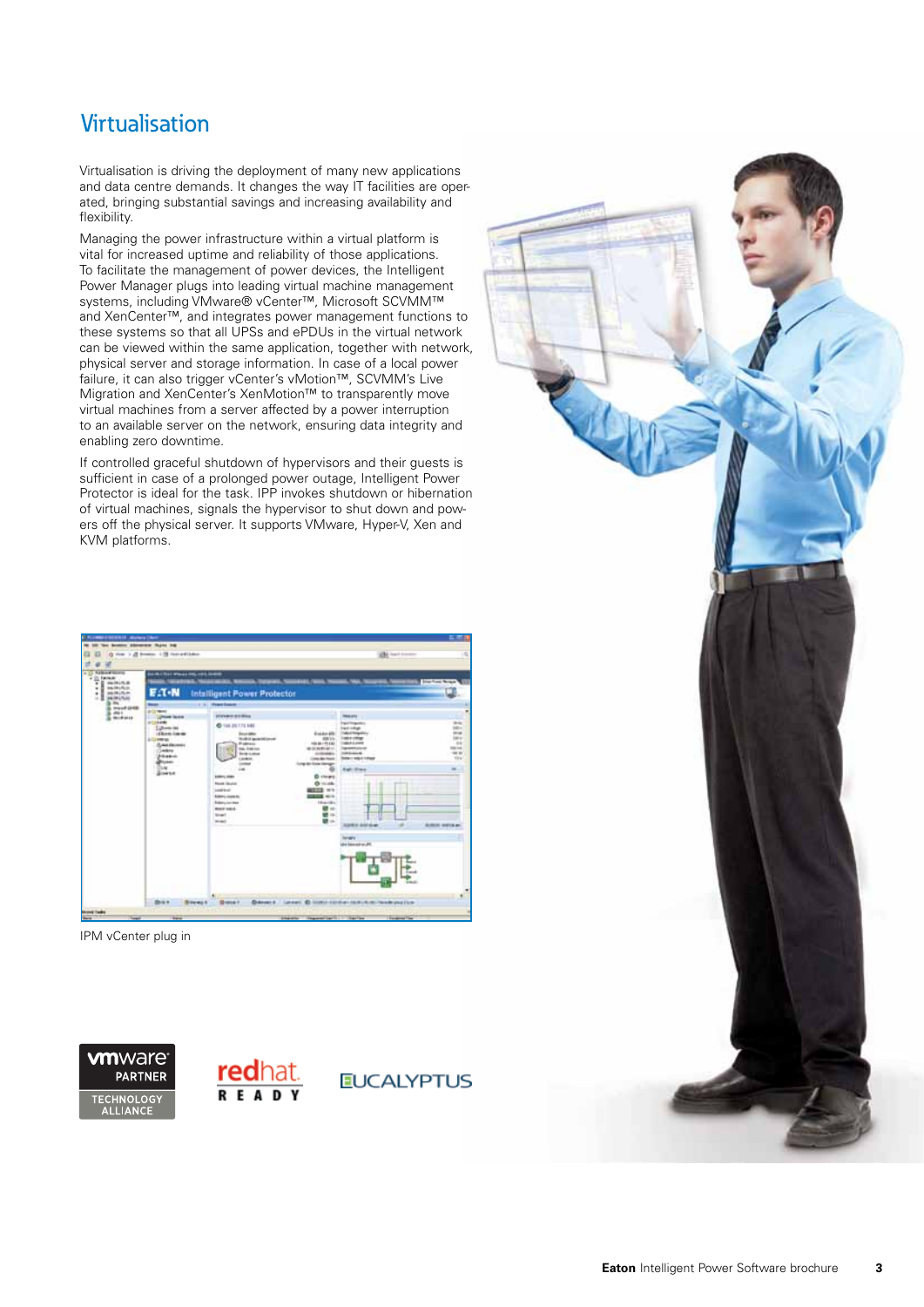## Virtualisation

Virtualisation is driving the deployment of many new applications and data centre demands. It changes the way IT facilities are operated, bringing substantial savings and increasing availability and flexibility.

Managing the power infrastructure within a virtual platform is vital for increased uptime and reliability of those applications. To facilitate the management of power devices, the Intelligent Power Manager plugs into leading virtual machine management systems, including VMware® vCenter™, Microsoft SCVMM™ and XenCenter™, and integrates power management functions to these systems so that all UPSs and ePDUs in the virtual network can be viewed within the same application, together with network, physical server and storage information. In case of a local power failure, it can also trigger vCenter's vMotion™, SCVMM's Live Migration and XenCenter's XenMotion™ to transparently move virtual machines from a server affected by a power interruption to an available server on the network, ensuring data integrity and enabling zero downtime.

If controlled graceful shutdown of hypervisors and their guests is sufficient in case of a prolonged power outage, Intelligent Power Protector is ideal for the task. IPP invokes shutdown or hibernation of virtual machines, signals the hypervisor to shut down and powers off the physical server. It supports VMware, Hyper-V, Xen and KVM platforms.

| <b>C. FLORIDA COORDILL, Martin Clinton</b><br><b>Liber Work</b>                                                                                               | Scotters determined thanks that<br>For 1.2 from 1.9 torotilder                                                                                                                                                                                                                         |                                                                                                                                                                                                                                                                                                                                                                                                                                                                                                                                    | (B) batteries                                                                                                                                                                                                                                                                      | お酒                                                                                                                                  |
|---------------------------------------------------------------------------------------------------------------------------------------------------------------|----------------------------------------------------------------------------------------------------------------------------------------------------------------------------------------------------------------------------------------------------------------------------------------|------------------------------------------------------------------------------------------------------------------------------------------------------------------------------------------------------------------------------------------------------------------------------------------------------------------------------------------------------------------------------------------------------------------------------------------------------------------------------------------------------------------------------------|------------------------------------------------------------------------------------------------------------------------------------------------------------------------------------------------------------------------------------------------------------------------------------|-------------------------------------------------------------------------------------------------------------------------------------|
| n<br><b>Earnest</b><br>Έ<br><b>GUNIA</b><br>¥<br>said child<br>٠<br>paid Little<br>в<br>٠<br>sale in a<br>×<br>m.<br>ment (248)<br>$-446 +$<br><b>BUFFELD</b> | <b>GALINE PROJECT CONTROL</b><br>$E \Lambda$ -N<br><b>Base</b><br><b><i>ANTI</i></b><br><b>UPINE TEXAS</b><br><b>ALLINOIS</b><br>Libraries (as<br>diam'run<br><b>A Greenings</b><br>75 Aug Electronic<br><b>Judges</b><br><b>Filippines</b><br><b>Britain</b><br>luie.<br><b>Bowen</b> | Intalligent Power Protector<br>12 13 House Street<br><b><i>USSAND BY BILL</i></b><br><b>C-144-35-175-848</b><br>Ext for \$9<br><b>Brook Mary</b><br><b>Rodrig government</b><br>104 04 170 040<br><b><i>Producers</i></b><br><b>THE GREAT</b><br>重复用物量()<br><b>Broth is played</b><br>41004061<br><b>Linker</b><br><b>Links des Rock</b><br><b>Interest Ford Service</b><br><b>Letter</b><br><b>CHE</b><br><b>Editoric Allen</b><br><b>D</b> clears<br><b>North Models</b><br>O mode<br>$-11$<br>seat kett<br><b>Nikmy country</b> | <b>TRALATA</b><br><b>Partikipolic</b><br><b>I will infiger</b><br>Todayal Telegrativity<br><b>MAY</b><br><b><i><u>Index company</u></i></b><br><b>MAA LAWR</b><br><b>WARRACK</b><br><b><i>ISBN 0-004-004</i></b><br>Select regular follows<br><b>Earl Enga</b><br><b>ALL ALL A</b> | <b>Similar Road</b><br><b>Hinda</b><br>$100 -$<br><b>LETAK</b><br>istori<br>$-14$<br><b>HEIGH</b><br><b>SALE</b><br><b>STA</b><br>m |
|                                                                                                                                                               | <b>Busie</b><br><b>Browner</b>                                                                                                                                                                                                                                                         | 111 Hourstown<br><b>Rates contract</b><br>Modell Halled<br><b>Sculpt</b><br><b>Branch</b><br><b>Showca</b> +                                                                                                                                                                                                                                                                                                                                                                                                                       | 顧心<br>■→<br>職业<br><b>SAMA ANGLIA</b><br>÷<br><b>harages</b><br>M. arbanal vid<br>ina<br>Dieser 4. Leiser. @ Inministered Holly Automobiles (see                                                                                                                                    | Amn seva a                                                                                                                          |

IPM vCenter plug in

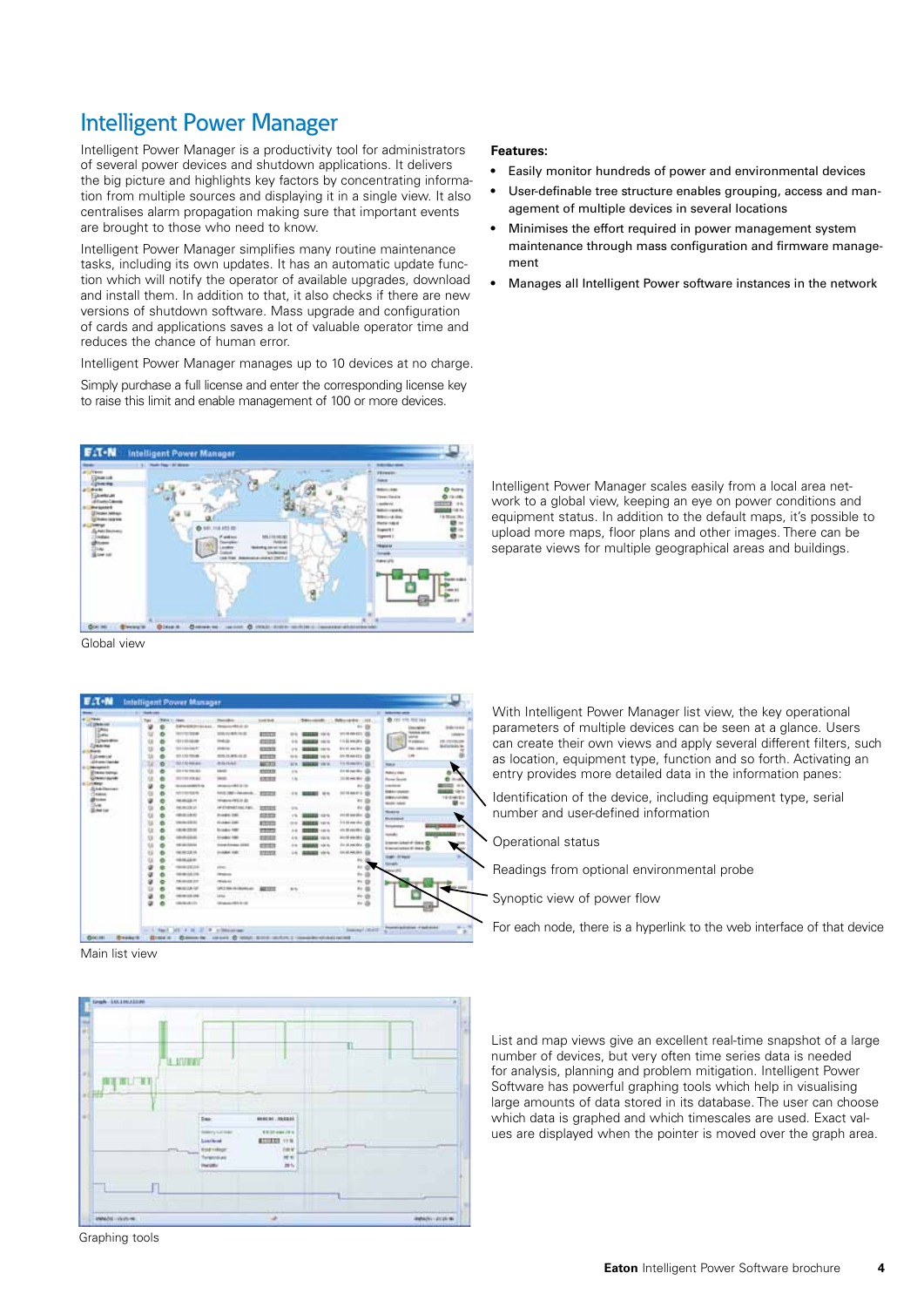## Intelligent Power Manager

Intelligent Power Manager is a productivity tool for administrators of several power devices and shutdown applications. It delivers the big picture and highlights key factors by concentrating information from multiple sources and displaying it in a single view. It also centralises alarm propagation making sure that important events are brought to those who need to know.

Intelligent Power Manager simplifies many routine maintenance tasks, including its own updates. It has an automatic update function which will notify the operator of available upgrades, download and install them. In addition to that, it also checks if there are new versions of shutdown software. Mass upgrade and configuration of cards and applications saves a lot of valuable operator time and reduces the chance of human error.

Intelligent Power Manager manages up to 10 devices at no charge. Simply purchase a full license and enter the corresponding license key to raise this limit and enable management of 100 or more devices.



Global view

|                                         | <b>The State</b> |    |                                      |                                   |                    |                |                     |                                        | <b>ST School and</b>                                        |                        |
|-----------------------------------------|------------------|----|--------------------------------------|-----------------------------------|--------------------|----------------|---------------------|----------------------------------------|-------------------------------------------------------------|------------------------|
| <b>ALL YEAR</b><br>Li Uhmid             | Tips             | щ. | $\sim$<br><b>Edited Miller Scott</b> | Technik de<br><b>Manufesta de</b> | <b>Condit Book</b> |                | <b>Monday</b>       | <b>Morete: US</b>                      | <b>B</b> (6) 775 752 364                                    |                        |
| <b>DROM</b>                             | ٠                |    | <b>ALCOHOL:</b>                      | <b>STATISTICS</b>                 | <b>ATTNERS</b>     | $^{++}$        | <b>BEEN 1979</b>    | 410 08 408 421 222                     | <b>COLLEGE</b><br><b><i><u>Institute collines</u></i></b>   | 2441144                |
| Santa<br>- presentence                  |                  |    | 101110-0046                          | <b>Industry</b>                   | 22223              |                | <b>BEES 10 %</b>    | 118-44-41-0                            | parts<br><b>Number</b>                                      | 1.0569.00<br>16 PETRUM |
| Zoname                                  |                  |    | <b>SALES AND REAL</b>                | <b>STARTING</b>                   |                    | $^{++}$        |                     | \$15 Million 20                        | <b>Red Address</b>                                          | <b>Midledge De</b>     |
| <b>Buck</b>                             |                  |    | 03119-9046                           | <b><i>BTRASANDARD</i></b>         | ESSER              | $1 - 1$        | <b>SERIE 10 %</b>   | 40.0646.031                            | 1.48                                                        |                        |
| Edinmian<br>different lightide          |                  |    | 1211010-00                           | MAAAAA                            | <b>ATENDA</b>      | $\rightarrow$  | <b>BEES</b> 10.0    | <b>Listensity III</b>                  |                                                             |                        |
| <b>S.C. Management</b>                  |                  |    |                                      |                                   | MOTOR              | <b>KV</b>      | <b>BERGE VIEW</b>   |                                        | <b>NAME</b>                                                 |                        |
| <b>Treas better</b>                     |                  |    | Gin 4 kg days and                    | <b>CALLS</b>                      | 10033              | PR             |                     | to se se de dia                        | <b>Baltimorphic</b>                                         | ۰                      |
| <b>UNITED SAINS</b><br><b>4 Johnson</b> |                  |    | <b>RETTER STRUGS</b>                 | <b>SHORN</b>                      | <b>STORY</b>       | 1.96           |                     | 2010 em 26 c                           | <b>Bone Seatt</b>                                           | <b>0 - 4</b>           |
| Atabilitane                             | u                |    | <b>SIAMMED &amp;</b>                 | <b>MARKHATEL</b>                  |                    |                |                     | $41 - 15$                              | <b><i><u>DESEMBER</u></i></b><br><b>SIEG - USAND</b>        |                        |
| 24000                                   |                  |    | AND FOR YOUR AG.                     | Send: 1980   Advancedo.           | <b>FEED</b>        |                |                     | <b>DOI: THE ASSESSED</b>               | <b>Jobs</b> Liverpool                                       | 101010-014             |
| <b>Bronze</b><br>348                    |                  |    | <b>SEALER</b>                        | <b>NUMBER OF GLACIES</b>          |                    |                |                     | as.                                    | <b>Model</b> Halled                                         | $\mathbf{u}$ -         |
| <b>Ziche Lan</b>                        |                  |    | <b>MACRA</b>                         | AR ETHENET AND THEIR              | <b>ESTABLE</b>     | <b>US</b>      |                     | 44                                     | <b>Baking</b>                                               |                        |
|                                         |                  |    | 101011-017                           | <b>B-MBA (ME)</b>                 | 2223               | $+9$           | <b>DEEDS</b> 1979.  | <b>PO 80 64 00 c.</b>                  | <b>Business</b>                                             |                        |
|                                         |                  |    | <b>General Add AS</b>                | <b>Scalendard Control</b>         | <b>ATTEN</b>       | 11.4           | <b>BEES</b> 10.5    | <b><i><u>Attribute</u></i></b> the all | <b>Bulgarage</b>                                            |                        |
|                                         |                  |    | 49.95%                               | <b>Broadco FMR</b>                | <b>CASTLE</b>      | 1.6            | .                   | 49 W 49 W 49 U                         | mento.                                                      | <b>STATE TO A</b>      |
|                                         |                  |    | 101012-01                            | <b>English FMR</b>                | 12022              | $4 - 4$        | <b>BEEM 1979</b>    | Ann Mi wila Mit t                      |                                                             |                        |
|                                         |                  |    | <b><i>ARCHIVECOMEN</i></b>           | <b>Scare Science, 2000</b>        | 43933              | 1/3            | <b>BERTH 141 14</b> | <b>Josheem, Da</b>                     | <b>University Labor Street (S)</b><br>Stevensted & Stev. D. |                        |
|                                         |                  |    | 46.972.8.16                          | <b>DISABIA FORD</b>               | mini               | $\overline{1}$ | <b>BEEN UP A</b>    | Att all Am clk a                       |                                                             |                        |
|                                         |                  |    | <b>HEAGEN</b>                        |                                   |                    |                |                     | 44                                     | <b>Sale: Al Anii</b>                                        |                        |
|                                         |                  |    | 101012-012                           | since.                            |                    |                |                     | 4x                                     | <b>SPARE</b><br>--                                          |                        |
|                                         |                  |    | 1414-14119-1                         | <b>The Contract</b>               |                    |                |                     | $+1$                                   |                                                             |                        |
|                                         |                  |    | 10-04039-018                         | <b>Highest</b>                    |                    |                |                     | $\sim$                                 |                                                             |                        |
|                                         |                  |    | <b>MANUALIST</b>                     | URC NA M. Anthony                 | ARTES              | <b>SIN</b>     |                     | s.                                     |                                                             |                        |
|                                         |                  |    | 1010120-04                           | <b>Latitude</b>                   | .                  |                |                     | 44                                     |                                                             |                        |
|                                         |                  |    | <b>CONTRACTOR</b>                    | <b>WARRANT READER</b>             |                    |                |                     | to ill                                 |                                                             |                        |
|                                         |                  |    |                                      |                                   |                    |                |                     |                                        | <b>Process Activities: 4 Audiobided</b>                     |                        |
|                                         |                  |    | to A dead off 4 M 2 R willing and    |                                   |                    |                |                     | <b>Insurance Collection</b>            |                                                             |                        |

Main list view

**IL ATTEND 前右右右右** 所有<br>請与

#### **Features:**

- Easily monitor hundreds of power and environmental devices
- User-definable tree structure enables grouping, access and management of multiple devices in several locations
- Minimises the effort required in power management system maintenance through mass configuration and firmware management
- Manages all Intelligent Power software instances in the network

Intelligent Power Manager scales easily from a local area network to a global view, keeping an eye on power conditions and equipment status. In addition to the default maps, it's possible to upload more maps, floor plans and other images. There can be separate views for multiple geographical areas and buildings.

With Intelligent Power Manager list view, the key operational parameters of multiple devices can be seen at a glance. Users can create their own views and apply several different filters, such as location, equipment type, function and so forth. Activating an entry provides more detailed data in the information panes:

 $\setminus$  Identification of the device, including equipment type, serial number and user-defined information

Operational status

Readings from optional environmental probe

Synoptic view of power flow

For each node, there is a hyperlink to the web interface of that device

List and map views give an excellent real-time snapshot of a large number of devices, but very often time series data is needed for analysis, planning and problem mitigation. Intelligent Power Software has powerful graphing tools which help in visualising large amounts of data stored in its database. The user can choose which data is graphed and which timescales are used. Exact values are displayed when the pointer is moved over the graph area.

Graphing tools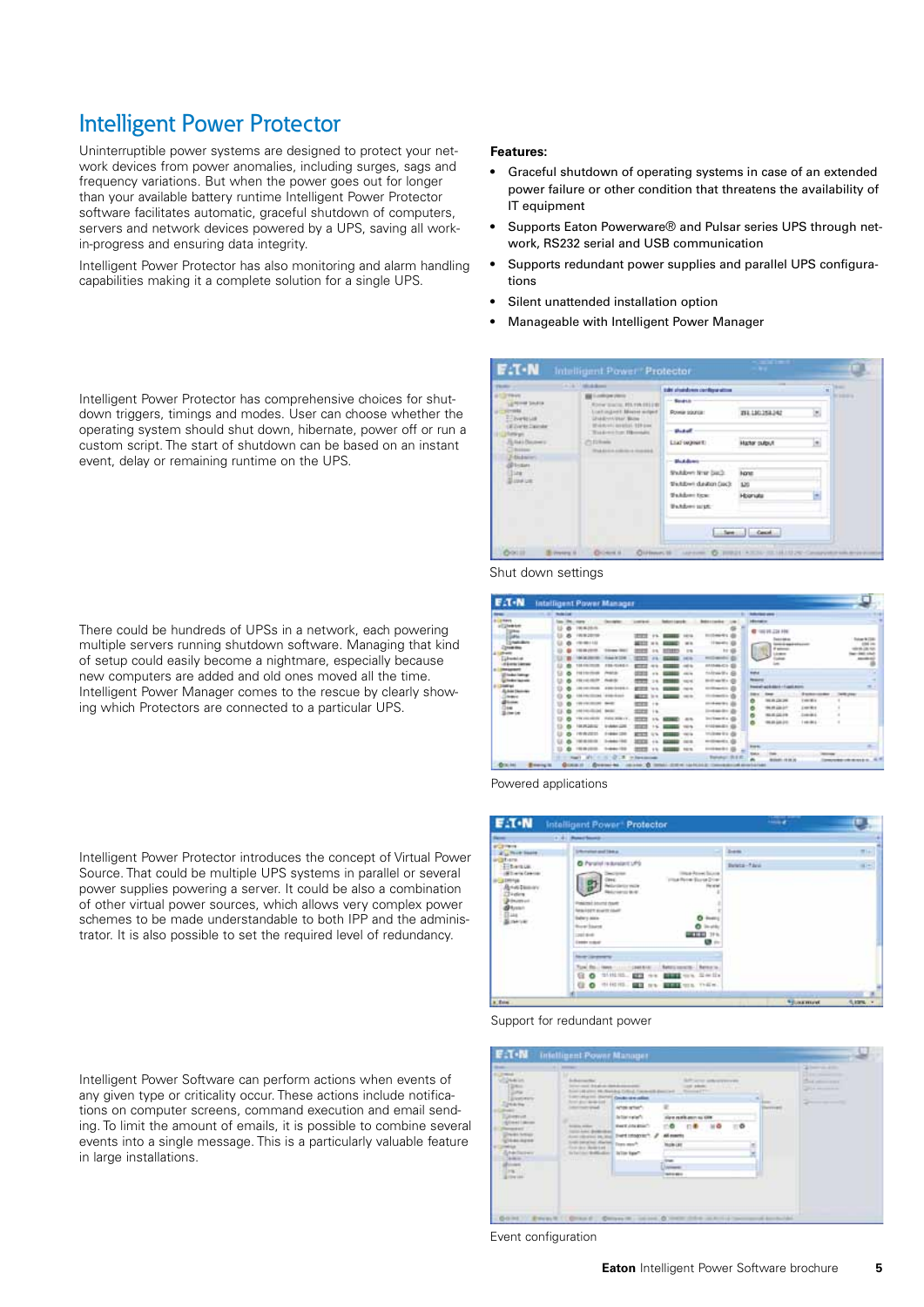### Intelligent Power Protector

Uninterruptible power systems are designed to protect your network devices from power anomalies, including surges, sags and frequency variations. But when the power goes out for longer than your available battery runtime Intelligent Power Protector software facilitates automatic, graceful shutdown of computers, servers and network devices powered by a UPS, saving all workin-progress and ensuring data integrity.

Intelligent Power Protector has also monitoring and alarm handling capabilities making it a complete solution for a single UPS.

**Features:**

- Graceful shutdown of operating systems in case of an extended power failure or other condition that threatens the availability of IT equipment
- Supports Eaton Powerware® and Pulsar series UPS through network, RS232 serial and USB communication
- Supports redundant power supplies and parallel UPS configurations
- Silent unattended installation option
- Manageable with Intelligent Power Manager

| <b>PERMIT 15</b>                      | CATA TRANSMIT                                                 | takt strandown configuration  |                     | <b>SELLING</b>     |
|---------------------------------------|---------------------------------------------------------------|-------------------------------|---------------------|--------------------|
| <b>ALCOHOL:</b><br><b>Mind Studio</b> | Looking and others.<br><b>Rivier Statist, PD, FIA 1912 BY</b> | - South                       |                     | <b>BY DIRECTOR</b> |
| 27 percent                            | Lost ingest Masse with F<br>Understand Box                    | <b>Powia source:</b>          | 2911101258.342      | w                  |
| <b>Williams Capridan</b><br>eta gro   | Weidolf aren'ts 199 per<br>Total exclus Illumide              | <b><i><u>District</u></i></b> |                     |                    |
| Like Littermey<br><b>Britisher</b>    | (T) E2 Roade<br>Wed-know and room in consisted.               | Liad outner to                | <b>Hater pulput</b> | G                  |
| 3-4 kulonimi<br><b>Division</b>       |                                                               | <b>Black discours</b>         |                     |                    |
| Size / 11                             |                                                               | Shutdown Nrist (said)         | <b>None</b>         |                    |
| <b>Bized Lot</b>                      |                                                               | third rolled include:         | 120                 |                    |
|                                       |                                                               | <b>Waldows Ecur</b>           | Holmate             |                    |
|                                       |                                                               | <b>Bulderisist</b>            |                     |                    |
|                                       |                                                               |                               | See Cool            |                    |

Shut down settings

| --              | <b><i><u>Selection</u></i></b>                    |                                                     |                                                                      |                                                            |                                                                                  |               | <b><i><u>Automative</u></i></b>                          |                                       |                     |  |
|-----------------|---------------------------------------------------|-----------------------------------------------------|----------------------------------------------------------------------|------------------------------------------------------------|----------------------------------------------------------------------------------|---------------|----------------------------------------------------------|---------------------------------------|---------------------|--|
| <b>A Makers</b> |                                                   |                                                     |                                                                      |                                                            |                                                                                  |               | $-$                                                      |                                       |                     |  |
|                 | <b>BA LIGHTER</b><br><b>MOM</b><br>1010146        | Friday 10, 2014<br>135-5/461<br>hana                | गाव<br>ᄣ<br><b>HITE</b><br><b>Inc.</b><br>∽<br>≖<br>222<br><b>CO</b> | $-1$<br><b>Int</b><br><b>STILES</b><br>÷<br>et is<br>cars. | <b>ASSAUCI E</b><br><b>AADAMER</b>                                               | tipla         | 10110-224-106<br><b>THE GRANICAL</b><br><b>E servers</b> |                                       |                     |  |
| don't be a week | <b>CALL CALL CAL</b>                              | <b>Ford &amp;</b><br>A Mile Group & C               | ≖<br>$-0.00000$                                                      | <b>ALCOHOL</b>                                             | <b><i><u>SHIP ANT</u></i></b>                                                    |               | more in act & date in a linear and                       | <b>Statistics</b>                     | <b>Tellit chair</b> |  |
|                 | <b><i>International</i></b>                       | <b>Allen Avenue</b><br>24.42<br><b>BASE</b>         | METH.<br><b>MARK</b><br>$+ +$<br>1000<br>19                          | se su                                                      | <b>Greenfield</b><br><b><i><u>P.O. Box 1914</u></i></b><br><b>Hill Add Allen</b> | ۰<br>۰<br>ø   | <b>HEATER</b><br>49.05.00.09                             | <b>CONTROL</b><br>$-0.001$<br>$-0.46$ |                     |  |
|                 | <b>WE ARE WELDED</b><br><b>M.PEZIDIEE</b><br>寄存项目 | Walnut Jellery 1971<br><b>DIAMOUSE</b><br>210041208 | --<br>╌                                                              | 出版<br>$-0.14$                                              | <b>Included L.C.</b><br>012240-221<br><b>COMMERCIAL</b>                          |               |                                                          |                                       |                     |  |
|                 |                                                   | <b>AAC TAL</b>                                      | ᄪ<br>$+1$<br>--                                                      | 14.4<br>1619                                               |                                                                                  | <b>Engine</b> |                                                          |                                       |                     |  |

Powered applications

|                                                                                                                                                             | <b>E</b> :T.W Intelligent Power <sup>*</sup> Protector                                                                                                                                                                                                                                                                                       | <b>STATE</b>        |              |
|-------------------------------------------------------------------------------------------------------------------------------------------------------------|----------------------------------------------------------------------------------------------------------------------------------------------------------------------------------------------------------------------------------------------------------------------------------------------------------------------------------------------|---------------------|--------------|
|                                                                                                                                                             | 1114 Powertown                                                                                                                                                                                                                                                                                                                               |                     |              |
| <b>PUTTING</b><br>. Post base                                                                                                                               | <b>University and like a</b>                                                                                                                                                                                                                                                                                                                 | <b>Zuene</b>        | ■日           |
| <b><i><u>ingstress</u></i></b><br><b>Zitemus</b><br>there Geener<br>and a Different<br><b>Briddenbarr</b><br>Tringfare<br><b>DRUIDS LIST</b><br><b>SALE</b> | O Parallel is durate truths<br>at Armed Source<br><b>Range Garrist D</b><br>Münümün veze<br><b>Access to Mark</b><br>Main knock food<br><b>Sea Look Avenue Coat</b><br>behavy asser-<br><b><i><u><u><u>andisco</u></u></u></i></b><br><b>Burgh Stairs</b><br><b>GETTIN</b><br><b>Deliver</b><br>39 lb.<br>银行<br><b><i>Lindake codest</i></b> | <b>Beleta-Fáric</b> | $(1 - 1)$    |
|                                                                                                                                                             | <b>Study Congression</b><br><b>Better</b><br><b>Raters' service</b><br><b>SWEET REVIEW</b><br>on Switz<br>10110105-0<br>$\circ$<br><b>EFT</b><br>\$3.93<br>G<br><b>Hora</b><br><b>住.0</b> 中国报。<br><b>SET NO. BEES UIL THEM.</b>                                                                                                              |                     |              |
|                                                                                                                                                             |                                                                                                                                                                                                                                                                                                                                              |                     |              |
| a fore                                                                                                                                                      |                                                                                                                                                                                                                                                                                                                                              | <b>Sales most</b>   | <b>REMA </b> |

#### Support for redundant power

| <b>UNHOUR</b>                                                                                                         | Longvishammi (Statist), Conclusion and added.                                                                                                          | 149 AVENUE PRO PRANADELLE DI FONDA IL PANISCO ADMINISTRATO                                                  | letter and company with<br>Total Card                              |   | The Column to the<br><b>Statement</b> |
|-----------------------------------------------------------------------------------------------------------------------|--------------------------------------------------------------------------------------------------------------------------------------------------------|-------------------------------------------------------------------------------------------------------------|--------------------------------------------------------------------|---|---------------------------------------|
| Since the<br><b>Contractor</b><br><b>MARKET</b><br><b>NAMES IN COLUMN</b><br><b>GALISTAN</b><br>Addition the co-<br>Ë | form and we know<br>contract 10<br><b>SCIENCE AND AN</b><br>Loan personal disclose from seath<br>For the Bolivier<br>Infection Soldieble 1 In the Real | Ante arter<br>Jellen vallefull<br><b>Rest Linkshirt</b><br><b>Contract Provided Det Mobile's #</b><br>----- | tion really aren't to<br>÷ō<br>۰<br>All superity<br><b>Now Let</b> | . | ----                                  |
|                                                                                                                       |                                                                                                                                                        |                                                                                                             | <b>MONEY</b>                                                       |   |                                       |

Event configuration

#### Intelligent Power Protector has comprehensive choices for shutdown triggers, timings and modes. User can choose whether the operating system should shut down, hibernate, power off or run a custom script. The start of shutdown can be based on an instant event, delay or remaining runtime on the UPS.

There could be hundreds of UPSs in a network, each powering multiple servers running shutdown software. Managing that kind of setup could easily become a nightmare, especially because new computers are added and old ones moved all the time. Intelligent Power Manager comes to the rescue by clearly showing which Protectors are connected to a particular UPS.

Intelligent Power Protector introduces the concept of Virtual Power Source. That could be multiple UPS systems in parallel or several power supplies powering a server. It could be also a combination of other virtual power sources, which allows very complex power schemes to be made understandable to both IPP and the administrator. It is also possible to set the required level of redundancy.

Intelligent Power Software can perform actions when events of any given type or criticality occur. These actions include notifications on computer screens, command execution and email sending. To limit the amount of emails, it is possible to combine several events into a single message. This is a particularly valuable feature in large installations.